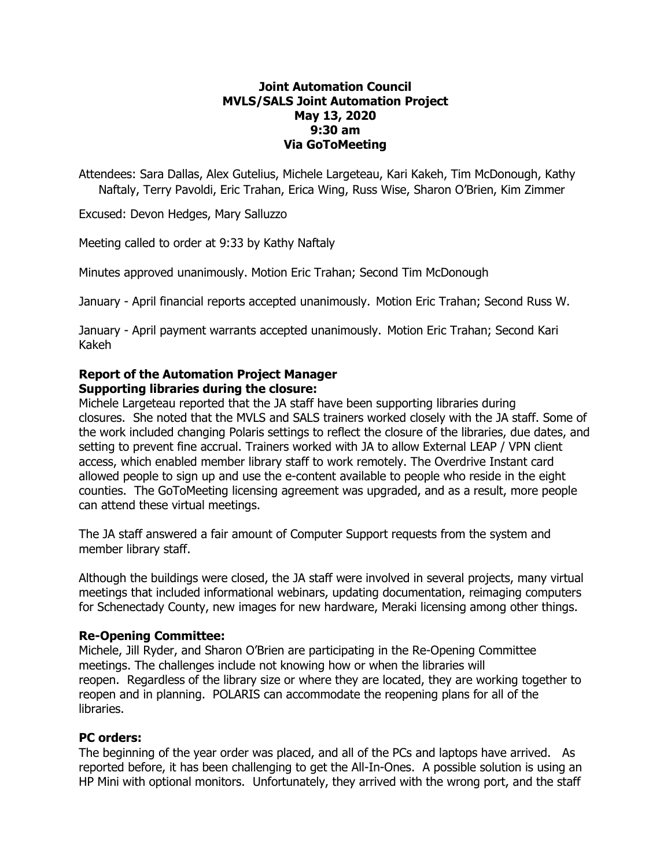# **Joint Automation Council MVLS/SALS Joint Automation Project May 13, 2020 9:30 am Via GoToMeeting**

Attendees: Sara Dallas, Alex Gutelius, Michele Largeteau, Kari Kakeh, Tim McDonough, Kathy Naftaly, Terry Pavoldi, Eric Trahan, Erica Wing, Russ Wise, Sharon O'Brien, Kim Zimmer

Excused: Devon Hedges, Mary Salluzzo

Meeting called to order at 9:33 by Kathy Naftaly

Minutes approved unanimously. Motion Eric Trahan; Second Tim McDonough

January - April financial reports accepted unanimously.  Motion Eric Trahan; Second Russ W.

January - April payment warrants accepted unanimously.  Motion Eric Trahan; Second Kari Kakeh

## **Report of the Automation Project Manager Supporting libraries during the closure:**

Michele Largeteau reported that the JA staff have been supporting libraries during closures. She noted that the MVLS and SALS trainers worked closely with the JA staff. Some of the work included changing Polaris settings to reflect the closure of the libraries, due dates, and setting to prevent fine accrual. Trainers worked with JA to allow External LEAP / VPN client access, which enabled member library staff to work remotely. The Overdrive Instant card allowed people to sign up and use the e-content available to people who reside in the eight counties. The GoToMeeting licensing agreement was upgraded, and as a result, more people can attend these virtual meetings.

The JA staff answered a fair amount of Computer Support requests from the system and member library staff.

Although the buildings were closed, the JA staff were involved in several projects, many virtual meetings that included informational webinars, updating documentation, reimaging computers for Schenectady County, new images for new hardware, Meraki licensing among other things.

## **Re-Opening Committee:**

Michele, Jill Ryder, and Sharon O'Brien are participating in the Re-Opening Committee meetings. The challenges include not knowing how or when the libraries will reopen. Regardless of the library size or where they are located, they are working together to reopen and in planning. POLARIS can accommodate the reopening plans for all of the libraries.

## **PC orders:**

The beginning of the year order was placed, and all of the PCs and laptops have arrived. As reported before, it has been challenging to get the All-In-Ones. A possible solution is using an HP Mini with optional monitors. Unfortunately, they arrived with the wrong port, and the staff